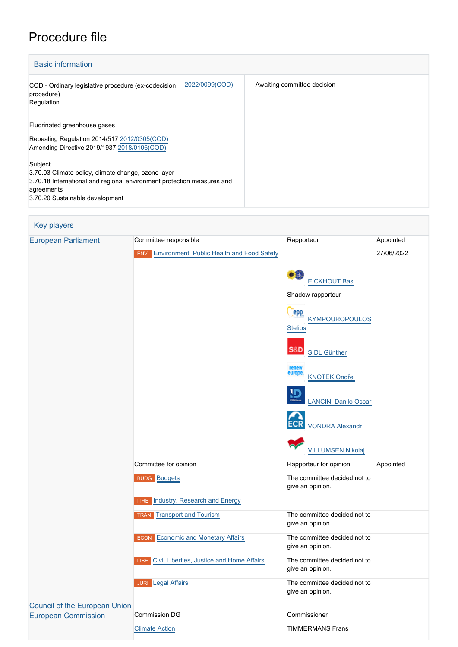## Procedure file

| <b>Basic information</b>                                                                                                                                                                  |                             |  |  |
|-------------------------------------------------------------------------------------------------------------------------------------------------------------------------------------------|-----------------------------|--|--|
| 2022/0099(COD)<br>COD - Ordinary legislative procedure (ex-codecision<br>procedure)<br>Regulation                                                                                         | Awaiting committee decision |  |  |
| Fluorinated greenhouse gases<br>Repealing Regulation 2014/517 2012/0305(COD)<br>Amending Directive 2019/1937 2018/0106(COD)                                                               |                             |  |  |
| Subject<br>3.70.03 Climate policy, climate change, ozone layer<br>3.70.18 International and regional environment protection measures and<br>agreements<br>3.70.20 Sustainable development |                             |  |  |

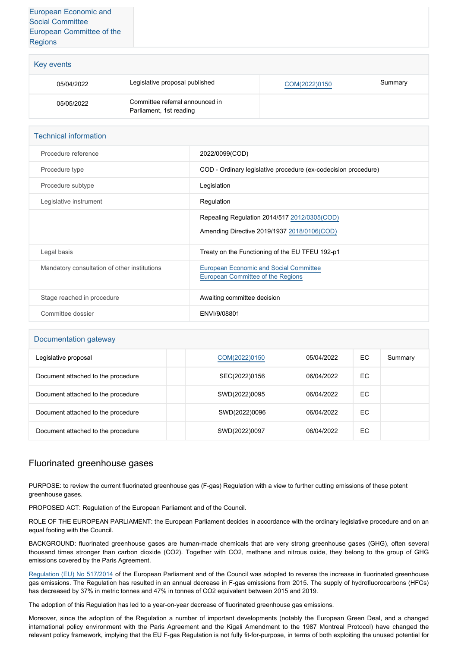| Key events |                                                            |               |         |
|------------|------------------------------------------------------------|---------------|---------|
| 05/04/2022 | Legislative proposal published                             | COM(2022)0150 | Summary |
| 05/05/2022 | Committee referral announced in<br>Parliament, 1st reading |               |         |

| <b>Technical information</b>                 |                                                                                    |
|----------------------------------------------|------------------------------------------------------------------------------------|
| Procedure reference                          | 2022/0099(COD)                                                                     |
| Procedure type                               | COD - Ordinary legislative procedure (ex-codecision procedure)                     |
| Procedure subtype                            | Legislation                                                                        |
| Legislative instrument                       | Regulation                                                                         |
|                                              | Repealing Regulation 2014/517 2012/0305(COD)                                       |
|                                              | Amending Directive 2019/1937 2018/0106(COD)                                        |
| Legal basis                                  | Treaty on the Functioning of the EU TFEU 192-p1                                    |
| Mandatory consultation of other institutions | <b>European Economic and Social Committee</b><br>European Committee of the Regions |
| Stage reached in procedure                   | Awaiting committee decision                                                        |
| Committee dossier                            | ENVI/9/08801                                                                       |

## Documentation gateway

| Legislative proposal               | COM(2022)0150 | 05/04/2022 | EC | Summary |
|------------------------------------|---------------|------------|----|---------|
| Document attached to the procedure | SEC(2022)0156 | 06/04/2022 | EC |         |
| Document attached to the procedure | SWD(2022)0095 | 06/04/2022 | EC |         |
| Document attached to the procedure | SWD(2022)0096 | 06/04/2022 | EC |         |
| Document attached to the procedure | SWD(2022)0097 | 06/04/2022 | EC |         |

## Fluorinated greenhouse gases

PURPOSE: to review the current fluorinated greenhouse gas (F-gas) Regulation with a view to further cutting emissions of these potent greenhouse gases.

PROPOSED ACT: Regulation of the European Parliament and of the Council.

ROLE OF THE EUROPEAN PARLIAMENT: the European Parliament decides in accordance with the ordinary legislative procedure and on an equal footing with the Council.

BACKGROUND: fluorinated greenhouse gases are human-made chemicals that are very strong greenhouse gases (GHG), often several thousand times stronger than carbon dioxide (CO2). Together with CO2, methane and nitrous oxide, they belong to the group of GHG emissions covered by the Paris Agreement.

[Regulation \(EU\) No 517/2014](https://eur-lex.europa.eu/legal-content/EN/TXT/?uri=CELEX%3A32014R0517&qid=1650619637014) of the European Parliament and of the Council was adopted to reverse the increase in fluorinated greenhouse gas emissions. The Regulation has resulted in an annual decrease in F-gas emissions from 2015. The supply of hydrofluorocarbons (HFCs) has decreased by 37% in metric tonnes and 47% in tonnes of CO2 equivalent between 2015 and 2019.

The adoption of this Regulation has led to a year-on-year decrease of fluorinated greenhouse gas emissions.

Moreover, since the adoption of the Regulation a number of important developments (notably the European Green Deal, and a changed international policy environment with the Paris Agreement and the Kigali Amendment to the 1987 Montreal Protocol) have changed the relevant policy framework, implying that the EU F-gas Regulation is not fully fit-for-purpose, in terms of both exploiting the unused potential for